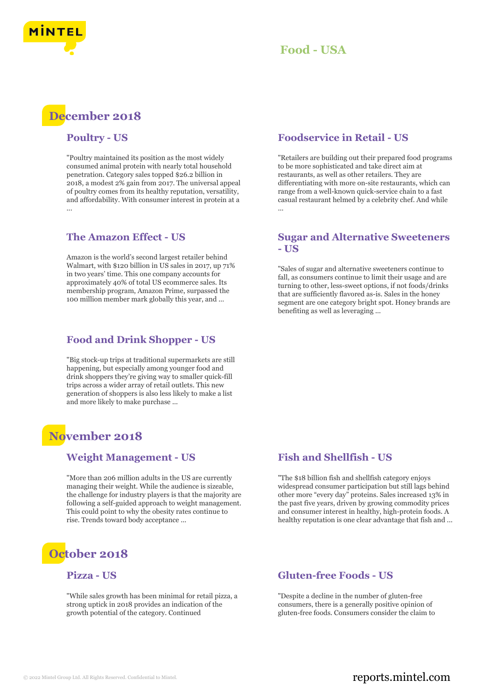

# **December 2018**

#### **Poultry - US**

"Poultry maintained its position as the most widely consumed animal protein with nearly total household penetration. Category sales topped \$26.2 billion in 2018, a modest 2% gain from 2017. The universal appeal of poultry comes from its healthy reputation, versatility, and affordability. With consumer interest in protein at a ...

#### **The Amazon Effect - US**

Amazon is the world's second largest retailer behind Walmart, with \$120 billion in US sales in 2017, up 71% in two years' time. This one company accounts for approximately 40% of total US ecommerce sales. Its membership program, Amazon Prime, surpassed the 100 million member mark globally this year, and ...

#### **Food and Drink Shopper - US**

"Big stock-up trips at traditional supermarkets are still happening, but especially among younger food and drink shoppers they're giving way to smaller quick-fill trips across a wider array of retail outlets. This new generation of shoppers is also less likely to make a list and more likely to make purchase ...

## **November 2018**

#### **Weight Management - US**

"More than 206 million adults in the US are currently managing their weight. While the audience is sizeable, the challenge for industry players is that the majority are following a self-guided approach to weight management. This could point to why the obesity rates continue to rise. Trends toward body acceptance ...



#### **Pizza - US**

"While sales growth has been minimal for retail pizza, a strong uptick in 2018 provides an indication of the growth potential of the category. Continued

#### **Foodservice in Retail - US**

"Retailers are building out their prepared food programs to be more sophisticated and take direct aim at restaurants, as well as other retailers. They are differentiating with more on-site restaurants, which can range from a well-known quick-service chain to a fast casual restaurant helmed by a celebrity chef. And while ...

#### **Sugar and Alternative Sweeteners - US**

"Sales of sugar and alternative sweeteners continue to fall, as consumers continue to limit their usage and are turning to other, less-sweet options, if not foods/drinks that are sufficiently flavored as-is. Sales in the honey segment are one category bright spot. Honey brands are benefiting as well as leveraging ...

#### **Fish and Shellfish - US**

"The \$18 billion fish and shellfish category enjoys widespread consumer participation but still lags behind other more "every day" proteins. Sales increased 13% in the past five years, driven by growing commodity prices and consumer interest in healthy, high-protein foods. A healthy reputation is one clear advantage that fish and ...

#### **Gluten-free Foods - US**

"Despite a decline in the number of gluten-free consumers, there is a generally positive opinion of gluten-free foods. Consumers consider the claim to

### © 2022 Mintel Group Ltd. All Rights Reserved. Confidential to Mintel.  $\blacksquare$  reports.mintel.com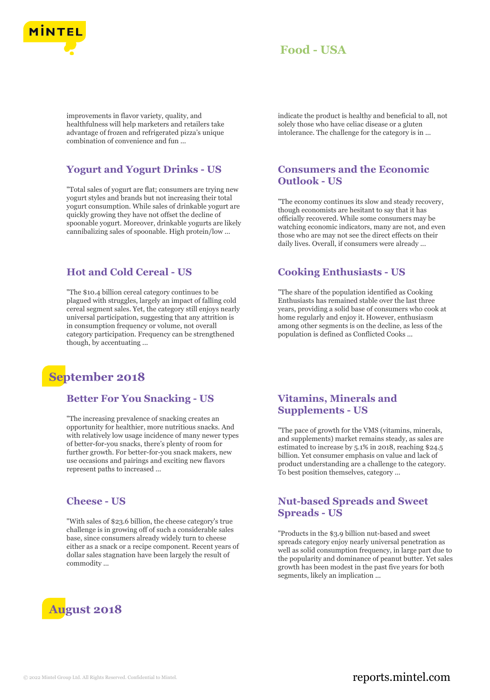

improvements in flavor variety, quality, and healthfulness will help marketers and retailers take advantage of frozen and refrigerated pizza's unique combination of convenience and fun ...

#### **Yogurt and Yogurt Drinks - US**

"Total sales of yogurt are flat; consumers are trying new yogurt styles and brands but not increasing their total yogurt consumption. While sales of drinkable yogurt are quickly growing they have not offset the decline of spoonable yogurt. Moreover, drinkable yogurts are likely cannibalizing sales of spoonable. High protein/low ...

#### **Hot and Cold Cereal - US**

"The \$10.4 billion cereal category continues to be plagued with struggles, largely an impact of falling cold cereal segment sales. Yet, the category still enjoys nearly universal participation, suggesting that any attrition is in consumption frequency or volume, not overall category participation. Frequency can be strengthened though, by accentuating ...

## **September 2018**

#### **Better For You Snacking - US**

"The increasing prevalence of snacking creates an opportunity for healthier, more nutritious snacks. And with relatively low usage incidence of many newer types of better-for-you snacks, there's plenty of room for further growth. For better-for-you snack makers, new use occasions and pairings and exciting new flavors represent paths to increased ...

#### **Cheese - US**

"With sales of \$23.6 billion, the cheese category's true challenge is in growing off of such a considerable sales base, since consumers already widely turn to cheese either as a snack or a recipe component. Recent years of dollar sales stagnation have been largely the result of commodity ...



indicate the product is healthy and beneficial to all, not solely those who have celiac disease or a gluten intolerance. The challenge for the category is in ...

#### **Consumers and the Economic Outlook - US**

"The economy continues its slow and steady recovery, though economists are hesitant to say that it has officially recovered. While some consumers may be watching economic indicators, many are not, and even those who are may not see the direct effects on their daily lives. Overall, if consumers were already ...

#### **Cooking Enthusiasts - US**

"The share of the population identified as Cooking Enthusiasts has remained stable over the last three years, providing a solid base of consumers who cook at home regularly and enjoy it. However, enthusiasm among other segments is on the decline, as less of the population is defined as Conflicted Cooks ...

#### **Vitamins, Minerals and Supplements - US**

"The pace of growth for the VMS (vitamins, minerals, and supplements) market remains steady, as sales are estimated to increase by 5.1% in 2018, reaching \$24.5 billion. Yet consumer emphasis on value and lack of product understanding are a challenge to the category. To best position themselves, category ...

#### **Nut-based Spreads and Sweet Spreads - US**

"Products in the \$3.9 billion nut-based and sweet spreads category enjoy nearly universal penetration as well as solid consumption frequency, in large part due to the popularity and dominance of peanut butter. Yet sales growth has been modest in the past five years for both segments, likely an implication ...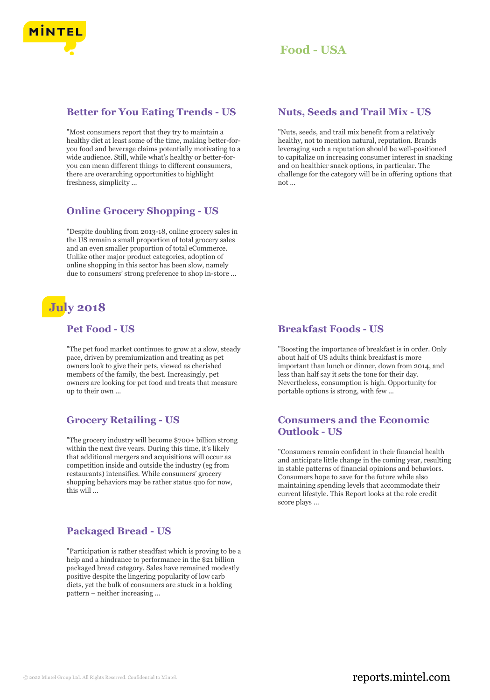

#### **Better for You Eating Trends - US**

"Most consumers report that they try to maintain a healthy diet at least some of the time, making better-foryou food and beverage claims potentially motivating to a wide audience. Still, while what's healthy or better-foryou can mean different things to different consumers, there are overarching opportunities to highlight freshness, simplicity ...

#### **Online Grocery Shopping - US**

"Despite doubling from 2013-18, online grocery sales in the US remain a small proportion of total grocery sales and an even smaller proportion of total eCommerce. Unlike other major product categories, adoption of online shopping in this sector has been slow, namely due to consumers' strong preference to shop in-store ...

# **July 2018**

#### **Pet Food - US**

"The pet food market continues to grow at a slow, steady pace, driven by premiumization and treating as pet owners look to give their pets, viewed as cherished members of the family, the best. Increasingly, pet owners are looking for pet food and treats that measure up to their own ...

#### **Grocery Retailing - US**

"The grocery industry will become \$700+ billion strong within the next five years. During this time, it's likely that additional mergers and acquisitions will occur as competition inside and outside the industry (eg from restaurants) intensifies. While consumers' grocery shopping behaviors may be rather status quo for now, this will ...

#### **Packaged Bread - US**

"Participation is rather steadfast which is proving to be a help and a hindrance to performance in the \$21 billion packaged bread category. Sales have remained modestly positive despite the lingering popularity of low carb diets, yet the bulk of consumers are stuck in a holding pattern – neither increasing ...

#### **Nuts, Seeds and Trail Mix - US**

"Nuts, seeds, and trail mix benefit from a relatively healthy, not to mention natural, reputation. Brands leveraging such a reputation should be well-positioned to capitalize on increasing consumer interest in snacking and on healthier snack options, in particular. The challenge for the category will be in offering options that not ...

#### **Breakfast Foods - US**

"Boosting the importance of breakfast is in order. Only about half of US adults think breakfast is more important than lunch or dinner, down from 2014, and less than half say it sets the tone for their day. Nevertheless, consumption is high. Opportunity for portable options is strong, with few ...

#### **Consumers and the Economic Outlook - US**

"Consumers remain confident in their financial health and anticipate little change in the coming year, resulting in stable patterns of financial opinions and behaviors. Consumers hope to save for the future while also maintaining spending levels that accommodate their current lifestyle. This Report looks at the role credit score plays ...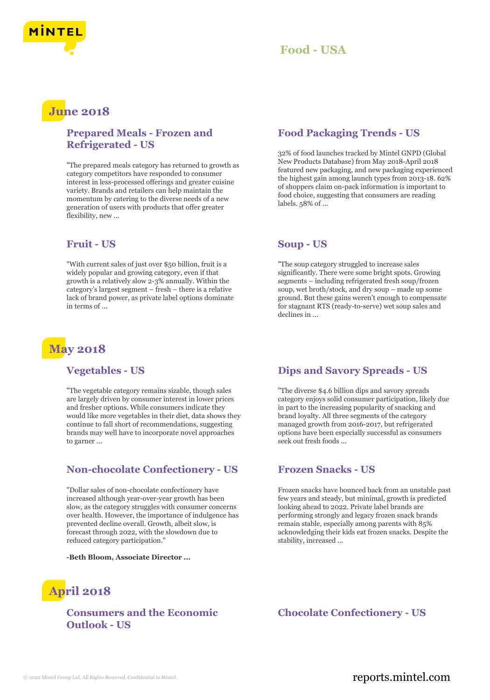



## **June 2018**

#### **Prepared Meals - Frozen and Refrigerated - US**

"The prepared meals category has returned to growth as category competitors have responded to consumer interest in less-processed offerings and greater cuisine variety. Brands and retailers can help maintain the momentum by catering to the diverse needs of a new generation of users with products that offer greater flexibility, new ...

#### **Fruit - US**

"With current sales of just over \$50 billion, fruit is a widely popular and growing category, even if that growth is a relatively slow 2-3% annually. Within the category's largest segment – fresh – there is a relative lack of brand power, as private label options dominate in terms of

# **May 2018**

#### **Vegetables - US**

"The vegetable category remains sizable, though sales are largely driven by consumer interest in lower prices and fresher options. While consumers indicate they would like more vegetables in their diet, data shows they continue to fall short of recommendations, suggesting brands may well have to incorporate novel approaches to garner ...

#### **Non-chocolate Confectionery - US**

"Dollar sales of non-chocolate confectionery have increased although year-over-year growth has been slow, as the category struggles with consumer concerns over health. However, the importance of indulgence has prevented decline overall. Growth, albeit slow, is forecast through 2022, with the slowdown due to reduced category participation."

**-Beth Bloom, Associate Director ...**

# **April 2018**

**Consumers and the Economic Outlook - US**

### **Food Packaging Trends - US**

32% of food launches tracked by Mintel GNPD (Global New Products Database) from May 2018-April 2018 featured new packaging, and new packaging experienced the highest gain among launch types from 2013-18. 62% of shoppers claim on-pack information is important to food choice, suggesting that consumers are reading labels. 58% of ...

#### **Soup - US**

"The soup category struggled to increase sales significantly. There were some bright spots. Growing segments – including refrigerated fresh soup/frozen soup, wet broth/stock, and dry soup – made up some ground. But these gains weren't enough to compensate for stagnant RTS (ready-to-serve) wet soup sales and declines in ...

#### **Dips and Savory Spreads - US**

"The diverse \$4.6 billion dips and savory spreads category enjoys solid consumer participation, likely due in part to the increasing popularity of snacking and brand loyalty. All three segments of the category managed growth from 2016-2017, but refrigerated options have been especially successful as consumers seek out fresh foods ...

#### **Frozen Snacks - US**

Frozen snacks have bounced back from an unstable past few years and steady, but minimal, growth is predicted looking ahead to 2022. Private label brands are performing strongly and legacy frozen snack brands remain stable, especially among parents with 85% acknowledging their kids eat frozen snacks. Despite the stability, increased ...

**Chocolate Confectionery - US**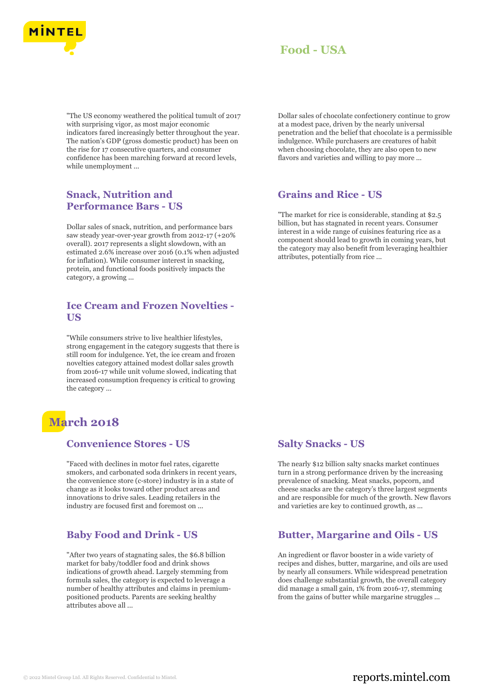

"The US economy weathered the political tumult of 2017 with surprising vigor, as most major economic indicators fared increasingly better throughout the year. The nation's GDP (gross domestic product) has been on the rise for 17 consecutive quarters, and consumer confidence has been marching forward at record levels, while unemployment ...

#### **Snack, Nutrition and Performance Bars - US**

Dollar sales of snack, nutrition, and performance bars saw steady year-over-year growth from 2012-17 (+20% overall). 2017 represents a slight slowdown, with an estimated 2.6% increase over 2016 (0.1% when adjusted for inflation). While consumer interest in snacking, protein, and functional foods positively impacts the category, a growing ...

#### **Ice Cream and Frozen Novelties - US**

"While consumers strive to live healthier lifestyles, strong engagement in the category suggests that there is still room for indulgence. Yet, the ice cream and frozen novelties category attained modest dollar sales growth from 2016-17 while unit volume slowed, indicating that increased consumption frequency is critical to growing the category ...

# **March 2018**

#### **Convenience Stores - US**

"Faced with declines in motor fuel rates, cigarette smokers, and carbonated soda drinkers in recent years, the convenience store (c-store) industry is in a state of change as it looks toward other product areas and innovations to drive sales. Leading retailers in the industry are focused first and foremost on ...

## **Baby Food and Drink - US**

"After two years of stagnating sales, the \$6.8 billion market for baby/toddler food and drink shows indications of growth ahead. Largely stemming from formula sales, the category is expected to leverage a number of healthy attributes and claims in premiumpositioned products. Parents are seeking healthy attributes above all ...

Dollar sales of chocolate confectionery continue to grow at a modest pace, driven by the nearly universal penetration and the belief that chocolate is a permissible indulgence. While purchasers are creatures of habit when choosing chocolate, they are also open to new flavors and varieties and willing to pay more ...

#### **Grains and Rice - US**

"The market for rice is considerable, standing at \$2.5 billion, but has stagnated in recent years. Consumer interest in a wide range of cuisines featuring rice as a component should lead to growth in coming years, but the category may also benefit from leveraging healthier attributes, potentially from rice ...

#### **Salty Snacks - US**

The nearly \$12 billion salty snacks market continues turn in a strong performance driven by the increasing prevalence of snacking. Meat snacks, popcorn, and cheese snacks are the category's three largest segments and are responsible for much of the growth. New flavors and varieties are key to continued growth, as ...

#### **Butter, Margarine and Oils - US**

An ingredient or flavor booster in a wide variety of recipes and dishes, butter, margarine, and oils are used by nearly all consumers. While widespread penetration does challenge substantial growth, the overall category did manage a small gain, 1% from 2016-17, stemming from the gains of butter while margarine struggles ...